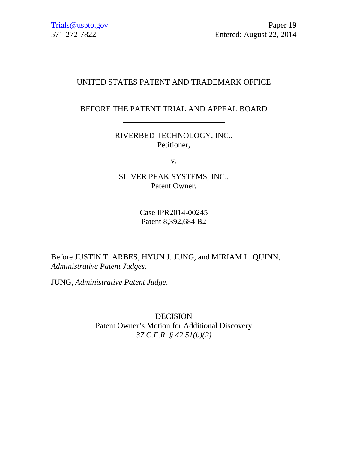# UNITED STATES PATENT AND TRADEMARK OFFICE

BEFORE THE PATENT TRIAL AND APPEAL BOARD

RIVERBED TECHNOLOGY, INC., Petitioner,

v.

SILVER PEAK SYSTEMS, INC., Patent Owner.

> Case IPR2014-00245 Patent 8,392,684 B2

Before JUSTIN T. ARBES, HYUN J. JUNG, and MIRIAM L. QUINN, *Administrative Patent Judges.* 

JUNG, *Administrative Patent Judge*.

DECISION Patent Owner's Motion for Additional Discovery *37 C.F.R. § 42.51(b)(2)*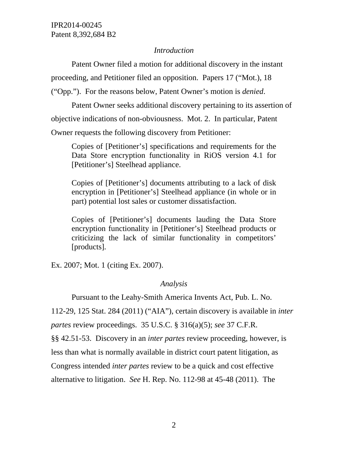#### *Introduction*

 Patent Owner filed a motion for additional discovery in the instant proceeding, and Petitioner filed an opposition. Papers 17 ("Mot.), 18 ("Opp."). For the reasons below, Patent Owner's motion is *denied*.

 Patent Owner seeks additional discovery pertaining to its assertion of objective indications of non-obviousness. Mot. 2. In particular, Patent Owner requests the following discovery from Petitioner:

Copies of [Petitioner's] specifications and requirements for the Data Store encryption functionality in RiOS version 4.1 for [Petitioner's] Steelhead appliance.

Copies of [Petitioner's] documents attributing to a lack of disk encryption in [Petitioner's] Steelhead appliance (in whole or in part) potential lost sales or customer dissatisfaction.

Copies of [Petitioner's] documents lauding the Data Store encryption functionality in [Petitioner's] Steelhead products or criticizing the lack of similar functionality in competitors' [products].

Ex. 2007; Mot. 1 (citing Ex. 2007).

### *Analysis*

Pursuant to the Leahy-Smith America Invents Act, Pub. L. No.

112-29, 125 Stat. 284 (2011) ("AIA"), certain discovery is available in *inter partes* review proceedings. 35 U.S.C. § 316(a)(5); *see* 37 C.F.R.

§§ 42.51-53. Discovery in an *inter partes* review proceeding, however, is

less than what is normally available in district court patent litigation, as

Congress intended *inter partes* review to be a quick and cost effective

alternative to litigation. *See* H. Rep. No. 112-98 at 45-48 (2011). The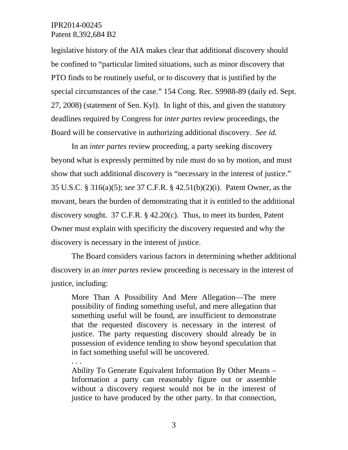legislative history of the AIA makes clear that additional discovery should be confined to "particular limited situations, such as minor discovery that PTO finds to be routinely useful, or to discovery that is justified by the special circumstances of the case." 154 Cong. Rec. S9988-89 (daily ed. Sept. 27, 2008) (statement of Sen. Kyl). In light of this, and given the statutory deadlines required by Congress for *inter partes* review proceedings, the Board will be conservative in authorizing additional discovery. *See id.*

In an *inter partes* review proceeding, a party seeking discovery beyond what is expressly permitted by rule must do so by motion, and must show that such additional discovery is "necessary in the interest of justice." 35 U.S.C. § 316(a)(5); *see* 37 C.F.R. § 42.51(b)(2)(i). Patent Owner, as the movant, bears the burden of demonstrating that it is entitled to the additional discovery sought. 37 C.F.R. § 42.20(c). Thus, to meet its burden, Patent Owner must explain with specificity the discovery requested and why the discovery is necessary in the interest of justice.

The Board considers various factors in determining whether additional discovery in an *inter partes* review proceeding is necessary in the interest of justice, including:

More Than A Possibility And Mere Allegation—The mere possibility of finding something useful, and mere allegation that something useful will be found, are insufficient to demonstrate that the requested discovery is necessary in the interest of justice. The party requesting discovery should already be in possession of evidence tending to show beyond speculation that in fact something useful will be uncovered.

. . . Ability To Generate Equivalent Information By Other Means – Information a party can reasonably figure out or assemble without a discovery request would not be in the interest of justice to have produced by the other party. In that connection,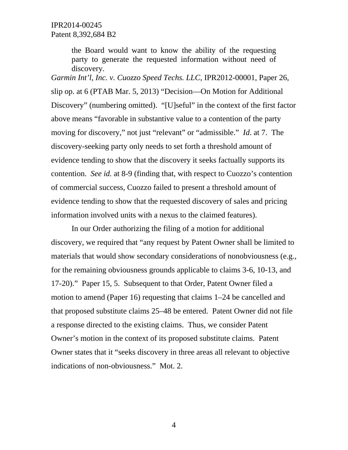the Board would want to know the ability of the requesting party to generate the requested information without need of discovery.

*Garmin Int'l, Inc. v. Cuozzo Speed Techs. LLC*, IPR2012-00001, Paper 26, slip op. at 6 (PTAB Mar. 5, 2013) "Decision—On Motion for Additional Discovery" (numbering omitted). "[U]seful" in the context of the first factor above means "favorable in substantive value to a contention of the party moving for discovery," not just "relevant" or "admissible." *Id*. at 7. The discovery-seeking party only needs to set forth a threshold amount of evidence tending to show that the discovery it seeks factually supports its contention. *See id.* at 8-9 (finding that, with respect to Cuozzo's contention of commercial success, Cuozzo failed to present a threshold amount of evidence tending to show that the requested discovery of sales and pricing information involved units with a nexus to the claimed features).

 In our Order authorizing the filing of a motion for additional discovery, we required that "any request by Patent Owner shall be limited to materials that would show secondary considerations of nonobviousness (e.g., for the remaining obviousness grounds applicable to claims 3-6, 10-13, and 17-20)." Paper 15, 5. Subsequent to that Order, Patent Owner filed a motion to amend (Paper 16) requesting that claims 1–24 be cancelled and that proposed substitute claims 25–48 be entered. Patent Owner did not file a response directed to the existing claims. Thus, we consider Patent Owner's motion in the context of its proposed substitute claims. Patent Owner states that it "seeks discovery in three areas all relevant to objective indications of non-obviousness." Mot. 2.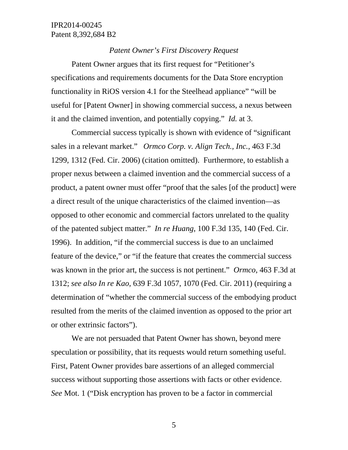#### *Patent Owner's First Discovery Request*

Patent Owner argues that its first request for "Petitioner's specifications and requirements documents for the Data Store encryption functionality in RiOS version 4.1 for the Steelhead appliance" "will be useful for [Patent Owner] in showing commercial success, a nexus between it and the claimed invention, and potentially copying." *Id.* at 3.

Commercial success typically is shown with evidence of "significant sales in a relevant market." *Ormco Corp. v. Align Tech., Inc.*, 463 F.3d 1299, 1312 (Fed. Cir. 2006) (citation omitted). Furthermore, to establish a proper nexus between a claimed invention and the commercial success of a product, a patent owner must offer "proof that the sales [of the product] were a direct result of the unique characteristics of the claimed invention—as opposed to other economic and commercial factors unrelated to the quality of the patented subject matter." *In re Huang*, 100 F.3d 135, 140 (Fed. Cir. 1996). In addition, "if the commercial success is due to an unclaimed feature of the device," or "if the feature that creates the commercial success was known in the prior art, the success is not pertinent." *Ormco*, 463 F.3d at 1312; *see also In re Kao*, 639 F.3d 1057, 1070 (Fed. Cir. 2011) (requiring a determination of "whether the commercial success of the embodying product resulted from the merits of the claimed invention as opposed to the prior art or other extrinsic factors").

We are not persuaded that Patent Owner has shown, beyond mere speculation or possibility, that its requests would return something useful. First, Patent Owner provides bare assertions of an alleged commercial success without supporting those assertions with facts or other evidence. *See* Mot. 1 ("Disk encryption has proven to be a factor in commercial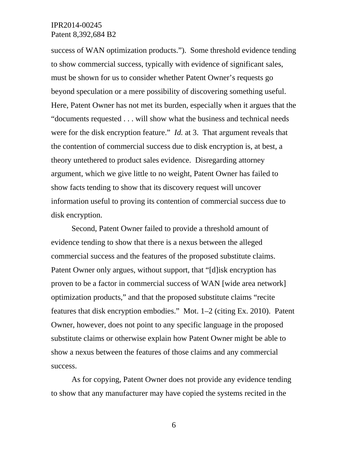success of WAN optimization products."). Some threshold evidence tending to show commercial success, typically with evidence of significant sales, must be shown for us to consider whether Patent Owner's requests go beyond speculation or a mere possibility of discovering something useful. Here, Patent Owner has not met its burden, especially when it argues that the "documents requested . . . will show what the business and technical needs were for the disk encryption feature." *Id.* at 3. That argument reveals that the contention of commercial success due to disk encryption is, at best, a theory untethered to product sales evidence. Disregarding attorney argument, which we give little to no weight, Patent Owner has failed to show facts tending to show that its discovery request will uncover information useful to proving its contention of commercial success due to disk encryption.

Second, Patent Owner failed to provide a threshold amount of evidence tending to show that there is a nexus between the alleged commercial success and the features of the proposed substitute claims. Patent Owner only argues, without support, that "[d]isk encryption has proven to be a factor in commercial success of WAN [wide area network] optimization products," and that the proposed substitute claims "recite features that disk encryption embodies." Mot. 1–2 (citing Ex. 2010). Patent Owner, however, does not point to any specific language in the proposed substitute claims or otherwise explain how Patent Owner might be able to show a nexus between the features of those claims and any commercial success.

As for copying, Patent Owner does not provide any evidence tending to show that any manufacturer may have copied the systems recited in the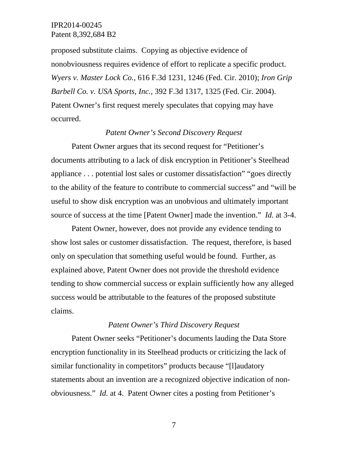proposed substitute claims. Copying as objective evidence of nonobviousness requires evidence of effort to replicate a specific product. *Wyers v. Master Lock Co.*, 616 F.3d 1231, 1246 (Fed. Cir. 2010); *Iron Grip Barbell Co. v. USA Sports, Inc.*, 392 F.3d 1317, 1325 (Fed. Cir. 2004). Patent Owner's first request merely speculates that copying may have occurred.

### *Patent Owner's Second Discovery Request*

Patent Owner argues that its second request for "Petitioner's documents attributing to a lack of disk encryption in Petitioner's Steelhead appliance . . . potential lost sales or customer dissatisfaction" "goes directly to the ability of the feature to contribute to commercial success" and "will be useful to show disk encryption was an unobvious and ultimately important source of success at the time [Patent Owner] made the invention." *Id.* at 3-4.

 Patent Owner, however, does not provide any evidence tending to show lost sales or customer dissatisfaction. The request, therefore, is based only on speculation that something useful would be found. Further, as explained above, Patent Owner does not provide the threshold evidence tending to show commercial success or explain sufficiently how any alleged success would be attributable to the features of the proposed substitute claims.

#### *Patent Owner's Third Discovery Request*

Patent Owner seeks "Petitioner's documents lauding the Data Store encryption functionality in its Steelhead products or criticizing the lack of similar functionality in competitors" products because "[I]audatory statements about an invention are a recognized objective indication of nonobviousness." *Id.* at 4. Patent Owner cites a posting from Petitioner's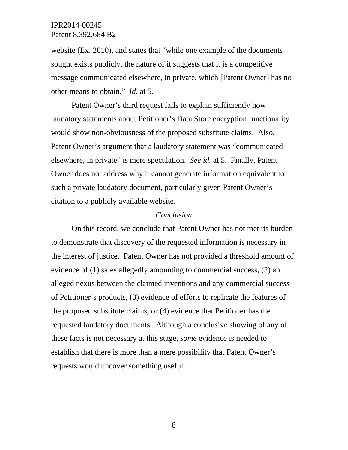website (Ex. 2010), and states that "while one example of the documents sought exists publicly, the nature of it suggests that it is a competitive message communicated elsewhere, in private, which [Patent Owner] has no other means to obtain." *Id.* at 5.

Patent Owner's third request fails to explain sufficiently how laudatory statements about Petitioner's Data Store encryption functionality would show non-obviousness of the proposed substitute claims. Also, Patent Owner's argument that a laudatory statement was "communicated elsewhere, in private" is mere speculation. *See id.* at 5. Finally, Patent Owner does not address why it cannot generate information equivalent to such a private laudatory document, particularly given Patent Owner's citation to a publicly available website.

#### *Conclusion*

On this record, we conclude that Patent Owner has not met its burden to demonstrate that discovery of the requested information is necessary in the interest of justice. Patent Owner has not provided a threshold amount of evidence of (1) sales allegedly amounting to commercial success, (2) an alleged nexus between the claimed inventions and any commercial success of Petitioner's products, (3) evidence of efforts to replicate the features of the proposed substitute claims, or (4) evidence that Petitioner has the requested laudatory documents. Although a conclusive showing of any of these facts is not necessary at this stage, *some* evidence is needed to establish that there is more than a mere possibility that Patent Owner's requests would uncover something useful.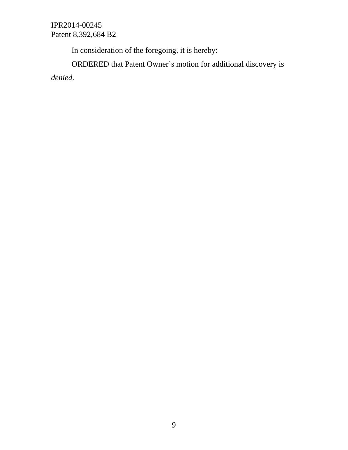In consideration of the foregoing, it is hereby:

ORDERED that Patent Owner's motion for additional discovery is *denied*.